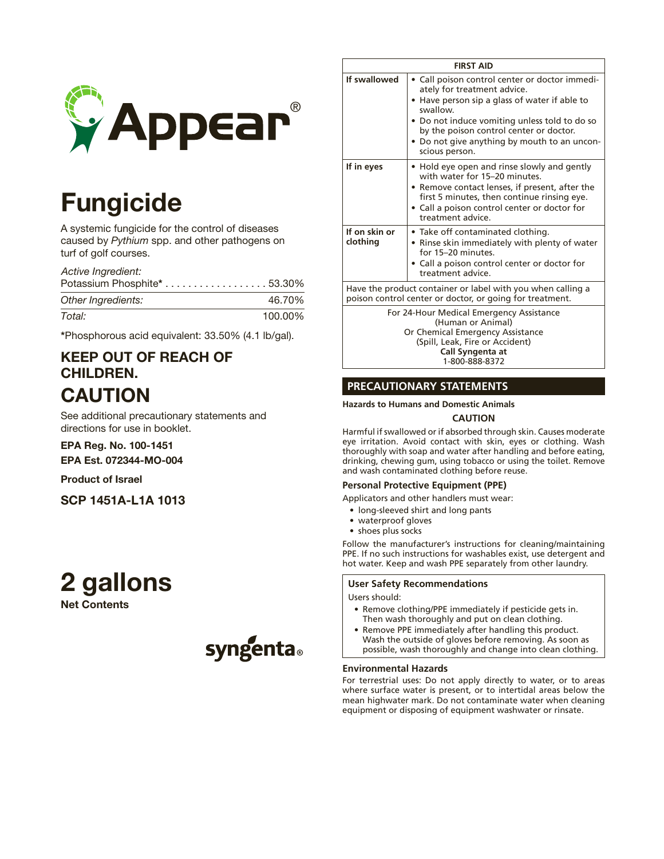

# Fungicide

A systemic fungicide for the control of diseases caused by *Pythium* spp. and other pathogens on turf of golf courses.

*Active Ingredient:*

| Potassium Phosphite* 53.30% |         |
|-----------------------------|---------|
| Other Ingredients:          | 46.70%  |
| Total:                      | 100.00% |

\*Phosphorous acid equivalent: 33.50% (4.1 lb/gal).

# KEEP OUT OF REACH OF CHILDREN. CAUTION

See additional precautionary statements and directions for use in booklet.

# EPA Reg. No. 100-1451

EPA Est. 072344-MO-004

# Product of Israel

SCP 1451A-L1A 1013

# 2 gallons

Net Contents



| <b>FIRST AID</b>                                                                                                                                         |                                                                                                                                                                                                                                                                                                          |  |  |  |
|----------------------------------------------------------------------------------------------------------------------------------------------------------|----------------------------------------------------------------------------------------------------------------------------------------------------------------------------------------------------------------------------------------------------------------------------------------------------------|--|--|--|
| If swallowed                                                                                                                                             | • Call poison control center or doctor immedi-<br>ately for treatment advice.<br>• Have person sip a glass of water if able to<br>swallow.<br>• Do not induce vomiting unless told to do so<br>by the poison control center or doctor.<br>• Do not give anything by mouth to an uncon-<br>scious person. |  |  |  |
| If in eyes                                                                                                                                               | • Hold eye open and rinse slowly and gently<br>with water for 15-20 minutes.<br>• Remove contact lenses, if present, after the<br>first 5 minutes, then continue rinsing eye.<br>• Call a poison control center or doctor for<br>treatment advice.                                                       |  |  |  |
| If on skin or<br>clothing                                                                                                                                | • Take off contaminated clothing.<br>• Rinse skin immediately with plenty of water<br>for 15-20 minutes.<br>• Call a poison control center or doctor for<br>treatment advice.                                                                                                                            |  |  |  |
| Have the product container or label with you when calling a<br>poison control center or doctor, or going for treatment.                                  |                                                                                                                                                                                                                                                                                                          |  |  |  |
| For 24-Hour Medical Emergency Assistance<br>(Human or Animal)<br>Or Chemical Emergency Assistance<br>(Spill, Leak, Fire or Accident)<br>Call Syngenta at |                                                                                                                                                                                                                                                                                                          |  |  |  |

# **PRECAUTIONARY STATEMENTS**

## **Hazards to Humans and Domestic Animals**

## **CAUTION**

1-800-888-8372

Harmful if swallowed or if absorbed through skin. Causes moderate eye irritation. Avoid contact with skin, eyes or clothing. Wash thoroughly with soap and water after handling and before eating, drinking, chewing gum, using tobacco or using the toilet. Remove and wash contaminated clothing before reuse.

## **Personal Protective Equipment (PPE)**

Applicators and other handlers must wear:

- long-sleeved shirt and long pants
- waterproof gloves
- shoes plus socks

Follow the manufacturer's instructions for cleaning/maintaining PPE. If no such instructions for washables exist, use detergent and hot water. Keep and wash PPE separately from other laundry.

## **User Safety Recommendations**

Users should:

- • Remove clothing/PPE immediately if pesticide gets in. Then wash thoroughly and put on clean clothing.
- Remove PPE immediately after handling this product. Wash the outside of gloves before removing. As soon as possible, wash thoroughly and change into clean clothing.

## **Environmental Hazards**

For terrestrial uses: Do not apply directly to water, or to areas where surface water is present, or to intertidal areas below the mean highwater mark. Do not contaminate water when cleaning equipment or disposing of equipment washwater or rinsate.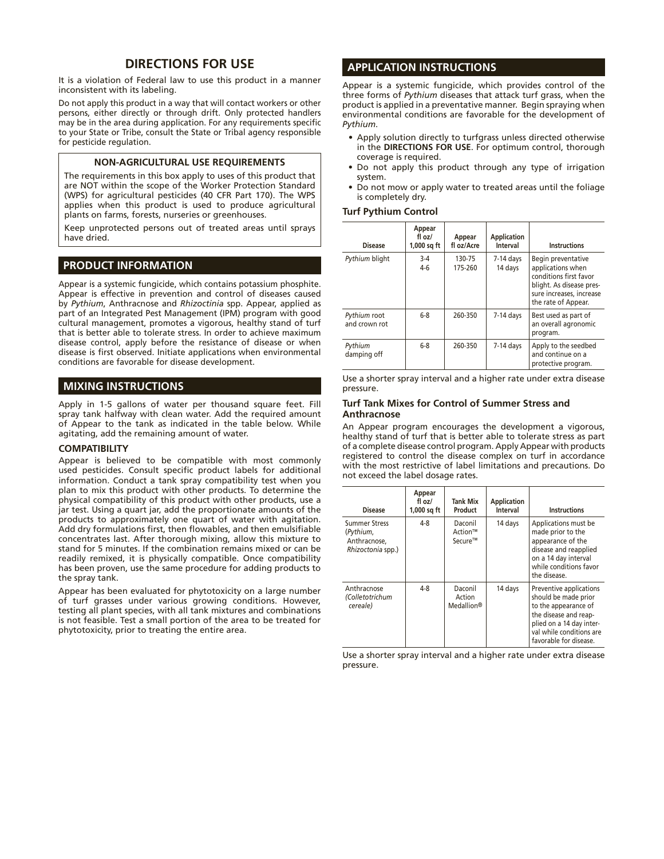# **DIRECTIONS FOR USE**

It is a violation of Federal law to use this product in a manner inconsistent with its labeling.

Do not apply this product in a way that will contact workers or other persons, either directly or through drift. Only protected handlers may be in the area during application. For any requirements specific to your State or Tribe, consult the State or Tribal agency responsible for pesticide regulation.

## **NON-AGRICULTURAL USE REQUIREMENTS**

The requirements in this box apply to uses of this product that are NOT within the scope of the Worker Protection Standard (WPS) for agricultural pesticides (40 CFR Part 170). The WPS applies when this product is used to produce agricultural plants on farms, forests, nurseries or greenhouses.

Keep unprotected persons out of treated areas until sprays have dried.

# **PRODUCT INFORMATION**

Appear is a systemic fungicide, which contains potassium phosphite. Appear is effective in prevention and control of diseases caused by *Pythium*, Anthracnose and *Rhizoctinia* spp. Appear, applied as part of an Integrated Pest Management (IPM) program with good cultural management, promotes a vigorous, healthy stand of turf that is better able to tolerate stress. In order to achieve maximum disease control, apply before the resistance of disease or when disease is first observed. Initiate applications when environmental conditions are favorable for disease development.

## **MIXING INSTRUCTIONS**

Apply in 1-5 gallons of water per thousand square feet. Fill spray tank halfway with clean water. Add the required amount of Appear to the tank as indicated in the table below. While agitating, add the remaining amount of water.

### **COMPATIBILITY**

Appear is believed to be compatible with most commonly used pesticides. Consult specific product labels for additional information. Conduct a tank spray compatibility test when you plan to mix this product with other products. To determine the physical compatibility of this product with other products, use a jar test. Using a quart jar, add the proportionate amounts of the products to approximately one quart of water with agitation. Add dry formulations first, then flowables, and then emulsifiable concentrates last. After thorough mixing, allow this mixture to stand for 5 minutes. If the combination remains mixed or can be readily remixed, it is physically compatible. Once compatibility has been proven, use the same procedure for adding products to the spray tank.

Appear has been evaluated for phytotoxicity on a large number of turf grasses under various growing conditions. However, testing all plant species, with all tank mixtures and combinations is not feasible. Test a small portion of the area to be treated for phytotoxicity, prior to treating the entire area.

## **APPLICATION INSTRUCTIONS**

Appear is a systemic fungicide, which provides control of the three forms of *Pythium* diseases that attack turf grass, when the product is applied in a preventative manner. Begin spraying when environmental conditions are favorable for the development of *Pythium*.

- Apply solution directly to turfgrass unless directed otherwise in the **DIRECTIONS FOR USE**. For optimum control, thorough coverage is required.
- Do not apply this product through any type of irrigation system.
- Do not mow or apply water to treated areas until the foliage is completely dry.

#### **Turf Pythium Control**

| <b>Disease</b>                | Appear<br>fl oz/<br>$1,000$ sq ft | Appear<br>fl oz/Acre | <b>Application</b><br>Interval | <b>Instructions</b>                                                                                                                              |
|-------------------------------|-----------------------------------|----------------------|--------------------------------|--------------------------------------------------------------------------------------------------------------------------------------------------|
| Pythium blight                | $3-4$<br>$4-6$                    | 130-75<br>175-260    | $7-14$ days<br>14 days         | Begin preventative<br>applications when<br>conditions first favor<br>blight. As disease pres-<br>sure increases, increase<br>the rate of Appear. |
| Pythium root<br>and crown rot | $6-8$                             | 260-350              | $7-14$ days                    | Best used as part of<br>an overall agronomic<br>program.                                                                                         |
| Pythium<br>damping off        | $6-8$                             | 260-350              | $7-14$ days                    | Apply to the seedbed<br>and continue on a<br>protective program.                                                                                 |

Use a shorter spray interval and a higher rate under extra disease pressure.

### **Turf Tank Mixes for Control of Summer Stress and Anthracnose**

An Appear program encourages the development a vigorous, healthy stand of turf that is better able to tolerate stress as part of a complete disease control program. Apply Appear with products registered to control the disease complex on turf in accordance with the most restrictive of label limitations and precautions. Do not exceed the label dosage rates.

| <b>Disease</b>                                                         | Appear<br>fl oz/<br>$1,000$ sq ft | Tank Mix<br>Product                         | <b>Application</b><br>Interval | <b>Instructions</b>                                                                                                                                                                |
|------------------------------------------------------------------------|-----------------------------------|---------------------------------------------|--------------------------------|------------------------------------------------------------------------------------------------------------------------------------------------------------------------------------|
| <b>Summer Stress</b><br>(Pythium,<br>Anthracnose.<br>Rhizoctonia spp.) | $4 - 8$                           | Daconil<br>Action™<br>Secure™               | 14 days                        | Applications must be<br>made prior to the<br>appearance of the<br>disease and reapplied<br>on a 14 day interval<br>while conditions favor<br>the disease.                          |
| Anthracnose<br>(Colletotrichum<br>cereale)                             | $4 - 8$                           | Daconil<br>Action<br>Medallion <sup>®</sup> | 14 days                        | Preventive applications<br>should be made prior<br>to the appearance of<br>the disease and reap-<br>plied on a 14 day inter-<br>val while conditions are<br>favorable for disease. |

Use a shorter spray interval and a higher rate under extra disease pressure.